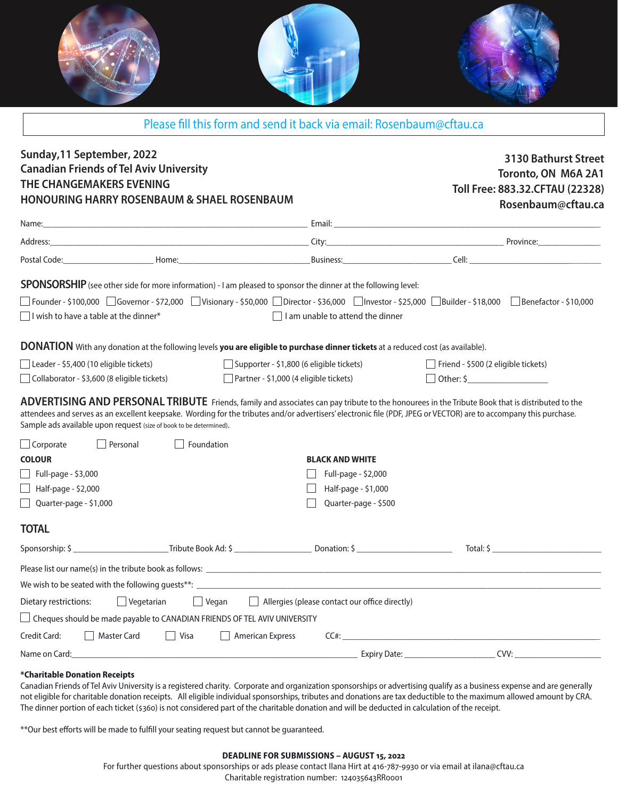

| Please fill this form and send it back via email: Rosenbaum@cftau.ca |  |  |  |  |  |  |  |  |
|----------------------------------------------------------------------|--|--|--|--|--|--|--|--|
|----------------------------------------------------------------------|--|--|--|--|--|--|--|--|

## **Sunday,11 September, 2022 Canadian Friends of Tel Aviv University THE CHANGEMAKERS EVENING HONOURING HARRY ROSENBAUM & SHAEL ROSENBAUM SPONSORSHIP**(see other side for more information) - I am pleased to sponsor the dinner at the following level: **ADVERTISING AND PERSONAL TRIBUTE** Friends, family and associates can pay tribute to the honourees in the Tribute Book that is distributed to the attendees and serves as an excellent keepsake. Wording for the tributes and/or advertisers' electronic file (PDF, JPEG or VECTOR) are to accompany this purchase. Sample ads available upon request (size of book to be determined). **COLOUR BLACK AND WHITE**  $\Box$  Full-page - \$3,000  $\Box$  Full-page - \$2,000  $\Box$  Half-page - \$2,000 Half-page - \$1,000 Quarter-page - \$1,000 Quarter-page - \$500 Founder - \$100,000 Governor - \$72,000 Visionary - \$50,000 Director - \$36,000 Investor - \$25,000 Builder - \$18,000 Benefactor - \$10,000  $\Box$  I wish to have a table at the dinner\* I controlled to attend the dinner Sponsorship: \$ \_\_\_\_\_\_\_\_\_\_\_\_\_\_\_\_\_\_\_\_\_Tribute Book Ad: \$ \_\_\_\_\_\_\_\_\_\_\_\_\_\_\_\_\_ Donation: \$ \_\_\_\_\_\_\_\_\_\_\_\_\_\_\_\_\_\_\_\_\_ Total: \$ \_\_\_\_\_\_\_\_\_\_\_\_\_\_\_\_\_\_\_\_\_\_\_\_ Please list our name(s) in the tribute book as follows:  $\blacksquare$ We wish to be seated with the following quests\*\*:  $\Box$  Cheques should be made payable to CANADIAN FRIENDS OF TEL AVIV UNIVERSITY Credit Card:  $\Box$  Master Card  $\Box$  Visa  $\Box$  American Express CC#: Name on Card:\_\_\_\_\_\_\_\_\_\_\_\_\_\_\_\_\_\_\_\_\_\_\_\_\_\_\_\_\_\_\_\_\_\_\_\_\_\_\_\_\_\_\_\_\_\_\_\_\_\_\_\_\_\_\_\_\_\_\_\_\_\_\_ Expiry Date: \_\_\_\_\_\_\_\_\_\_\_\_\_\_\_\_\_\_\_\_ CVV: \_\_\_\_\_\_\_\_\_\_\_\_\_\_\_\_\_\_\_ **3130 Bathurst Street Toronto, ON M6A 2A1 Toll Free: 883.32.CFTAU (22328) Rosenbaum@cftau.ca** Name:\_\_\_\_\_\_\_\_\_\_\_\_\_\_\_\_\_\_\_\_\_\_\_\_\_\_\_\_\_\_\_\_\_\_\_\_\_\_\_\_\_\_\_\_\_\_\_\_\_\_\_\_\_\_\_\_\_\_\_\_\_ Email: \_\_\_\_\_\_\_\_\_\_\_\_\_\_\_\_\_\_\_\_\_\_\_\_\_\_\_\_\_\_\_\_\_\_\_\_\_\_\_\_\_\_\_\_\_\_\_\_\_\_\_\_\_\_\_\_\_\_\_ and a set of the set of the set of the set of the set of the set of the set of the set of the set of the set of the set of the set of the set of the set of the set of the set of the set of the set of the set of the set of Postal Code: <u>Example 2001</u> France 2002 France 2003 and 2003 Business: **Example 2003** Cell: **Cell: Cell: Cell: Cell: Cell: Cell: Cell: Cell: Cell: Cell: Cell: Cell: Cell: Cell: Cell: Cell: C DONATION** With any donation at the following levels **you are eligible to purchase dinner tickets** at a reduced cost (as available). Leader - \$5,400 (10 eligible tickets) Supporter - \$1,800 (6 eligible tickets) Friend - \$500 (2 eligible tickets)  $\Box$  Collaborator - \$3,600 (8 eligible tickets)  $\Box$  Partner - \$1,000 (4 eligible tickets)  $\Box$  Other: \$ **TOTAL**  $\Box$  Corporate  $\Box$  Personal  $\Box$  Foundation Dietary restrictions:  $\Box$  Vegetarian  $\Box$  Vegan  $\Box$  Allergies (please contact our office directly)

#### **\*Charitable Donation Receipts**

Canadian Friends of Tel Aviv University is a registered charity. Corporate and organization sponsorships or advertising qualify as a business expense and are generally not eligible for charitable donation receipts. All eligible individual sponsorships, tributes and donations are tax deductible to the maximum allowed amount by CRA. The dinner portion of each ticket (\$360) is not considered part of the charitable donation and will be deducted in calculation of the receipt.

\*\*Our best efforts will be made to fulfill your seating request but cannot be guaranteed.

#### **DEADLINE FOR SUBMISSIONS – AUGUST 15, 2022**

For further questions about sponsorships or ads please contact Ilana Hirt at 416-787-9930 or via email at ilana@cftau.ca Charitable registration number: 124035643RR0001